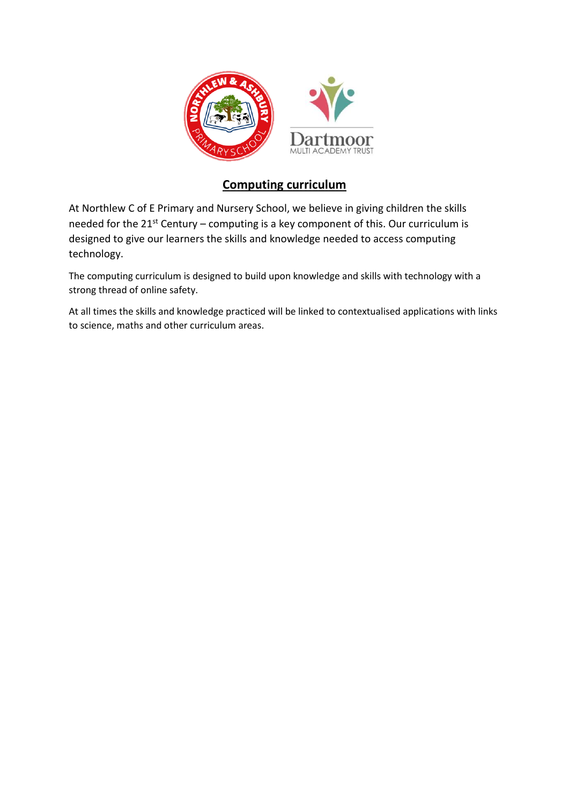

# **Computing curriculum**

At Northlew C of E Primary and Nursery School, we believe in giving children the skills needed for the  $21^{st}$  Century – computing is a key component of this. Our curriculum is designed to give our learners the skills and knowledge needed to access computing technology.

The computing curriculum is designed to build upon knowledge and skills with technology with a strong thread of online safety.

At all times the skills and knowledge practiced will be linked to contextualised applications with links to science, maths and other curriculum areas.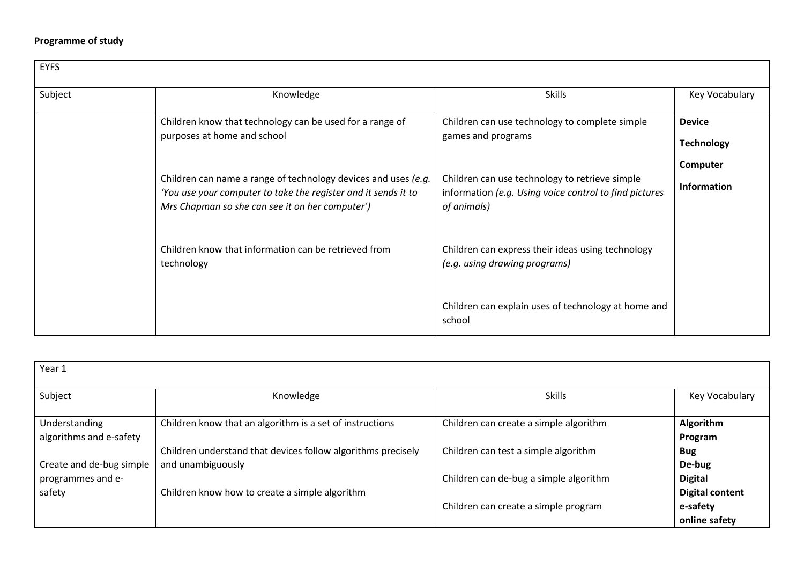## **Programme of study**

| <b>EYFS</b> |                                                                                                                                  |                                                                                                          |                    |  |
|-------------|----------------------------------------------------------------------------------------------------------------------------------|----------------------------------------------------------------------------------------------------------|--------------------|--|
| Subject     | Knowledge                                                                                                                        | <b>Skills</b>                                                                                            | Key Vocabulary     |  |
|             | Children know that technology can be used for a range of                                                                         | Children can use technology to complete simple                                                           | <b>Device</b>      |  |
|             | purposes at home and school                                                                                                      | games and programs                                                                                       | <b>Technology</b>  |  |
|             |                                                                                                                                  |                                                                                                          | Computer           |  |
|             | Children can name a range of technology devices and uses (e.g.<br>'You use your computer to take the register and it sends it to | Children can use technology to retrieve simple<br>information (e.g. Using voice control to find pictures | <b>Information</b> |  |
|             | Mrs Chapman so she can see it on her computer')                                                                                  | of animals)                                                                                              |                    |  |
|             |                                                                                                                                  |                                                                                                          |                    |  |
|             | Children know that information can be retrieved from                                                                             | Children can express their ideas using technology                                                        |                    |  |
|             | technology                                                                                                                       | (e.g. using drawing programs)                                                                            |                    |  |
|             |                                                                                                                                  | Children can explain uses of technology at home and                                                      |                    |  |
|             |                                                                                                                                  | school                                                                                                   |                    |  |

| Year 1                                   |                                                                                   |                                        |                                          |
|------------------------------------------|-----------------------------------------------------------------------------------|----------------------------------------|------------------------------------------|
| Subject                                  | Knowledge                                                                         | <b>Skills</b>                          | Key Vocabulary                           |
| Understanding<br>algorithms and e-safety | Children know that an algorithm is a set of instructions                          | Children can create a simple algorithm | Algorithm<br>Program                     |
| Create and de-bug simple                 | Children understand that devices follow algorithms precisely<br>and unambiguously | Children can test a simple algorithm   | <b>Bug</b><br>De-bug                     |
| programmes and e-<br>safety              | Children know how to create a simple algorithm                                    | Children can de-bug a simple algorithm | <b>Digital</b><br><b>Digital content</b> |
|                                          |                                                                                   | Children can create a simple program   | e-safety<br>online safety                |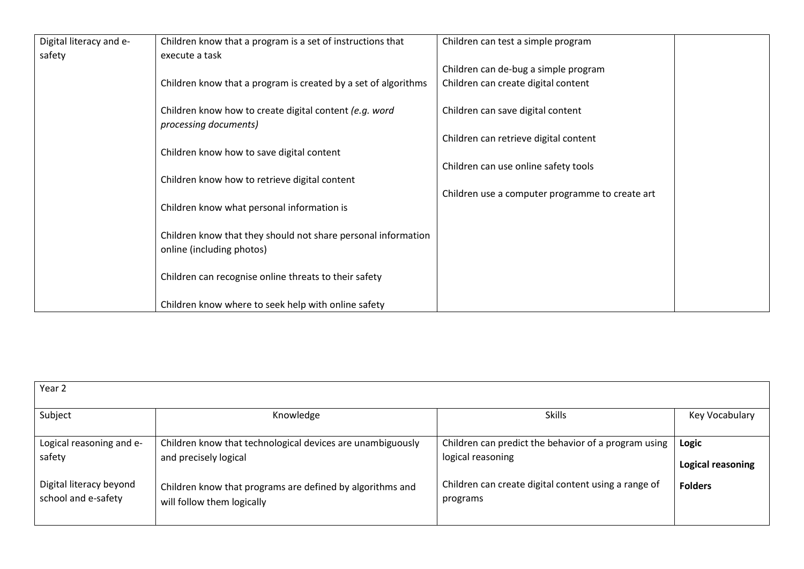| Digital literacy and e- | Children know that a program is a set of instructions that                                 | Children can test a simple program              |  |
|-------------------------|--------------------------------------------------------------------------------------------|-------------------------------------------------|--|
| safety                  | execute a task                                                                             |                                                 |  |
|                         |                                                                                            | Children can de-bug a simple program            |  |
|                         | Children know that a program is created by a set of algorithms                             | Children can create digital content             |  |
|                         | Children know how to create digital content (e.g. word<br>processing documents)            | Children can save digital content               |  |
|                         |                                                                                            | Children can retrieve digital content           |  |
|                         | Children know how to save digital content                                                  |                                                 |  |
|                         |                                                                                            | Children can use online safety tools            |  |
|                         | Children know how to retrieve digital content                                              |                                                 |  |
|                         |                                                                                            | Children use a computer programme to create art |  |
|                         | Children know what personal information is                                                 |                                                 |  |
|                         | Children know that they should not share personal information<br>online (including photos) |                                                 |  |
|                         | Children can recognise online threats to their safety                                      |                                                 |  |
|                         | Children know where to seek help with online safety                                        |                                                 |  |

| Year 2                   |                                                            |                                                      |                   |
|--------------------------|------------------------------------------------------------|------------------------------------------------------|-------------------|
| Subject                  | Knowledge                                                  | <b>Skills</b>                                        | Key Vocabulary    |
| Logical reasoning and e- | Children know that technological devices are unambiguously | Children can predict the behavior of a program using | Logic             |
| safety                   | and precisely logical                                      | logical reasoning                                    | Logical reasoning |
| Digital literacy beyond  | Children know that programs are defined by algorithms and  | Children can create digital content using a range of | <b>Folders</b>    |
| school and e-safety      | will follow them logically                                 | programs                                             |                   |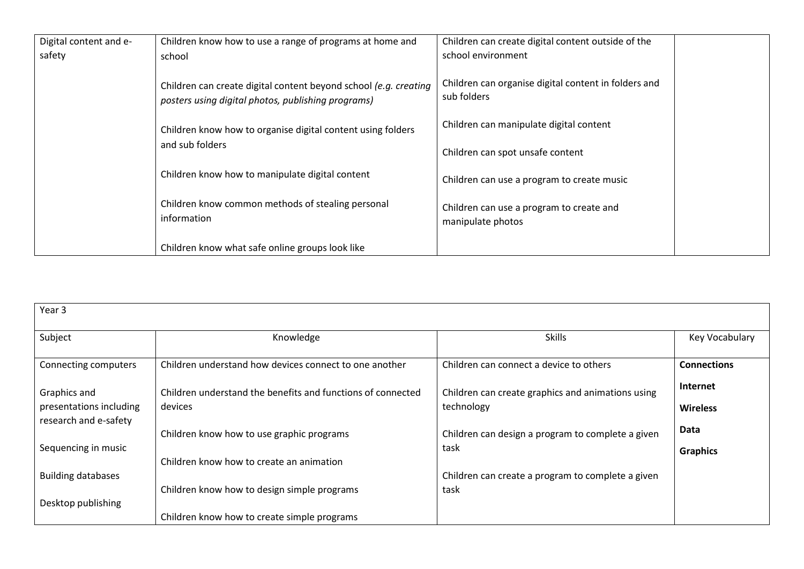| Digital content and e- | Children know how to use a range of programs at home and                                                               | Children can create digital content outside of the                  |  |
|------------------------|------------------------------------------------------------------------------------------------------------------------|---------------------------------------------------------------------|--|
| safety                 | school                                                                                                                 | school environment                                                  |  |
|                        | Children can create digital content beyond school (e.g. creating<br>posters using digital photos, publishing programs) | Children can organise digital content in folders and<br>sub folders |  |
|                        | Children know how to organise digital content using folders                                                            | Children can manipulate digital content                             |  |
|                        | and sub folders                                                                                                        | Children can spot unsafe content                                    |  |
|                        | Children know how to manipulate digital content                                                                        | Children can use a program to create music                          |  |
|                        | Children know common methods of stealing personal<br>information                                                       | Children can use a program to create and<br>manipulate photos       |  |
|                        | Children know what safe online groups look like                                                                        |                                                                     |  |

| Year 3                                                                  |                                                             |                                                   |                    |  |  |
|-------------------------------------------------------------------------|-------------------------------------------------------------|---------------------------------------------------|--------------------|--|--|
| Subject                                                                 | Knowledge                                                   | <b>Skills</b>                                     | Key Vocabulary     |  |  |
| Connecting computers                                                    | Children understand how devices connect to one another      | Children can connect a device to others           | <b>Connections</b> |  |  |
| Graphics and                                                            | Children understand the benefits and functions of connected | Children can create graphics and animations using | <b>Internet</b>    |  |  |
| presentations including<br>research and e-safety                        | devices                                                     | technology                                        | <b>Wireless</b>    |  |  |
|                                                                         | Children know how to use graphic programs                   | Children can design a program to complete a given | Data               |  |  |
| Sequencing in music<br>task<br>Children know how to create an animation |                                                             |                                                   | <b>Graphics</b>    |  |  |
| <b>Building databases</b>                                               |                                                             | Children can create a program to complete a given |                    |  |  |
| Desktop publishing                                                      | Children know how to design simple programs                 | task                                              |                    |  |  |
|                                                                         | Children know how to create simple programs                 |                                                   |                    |  |  |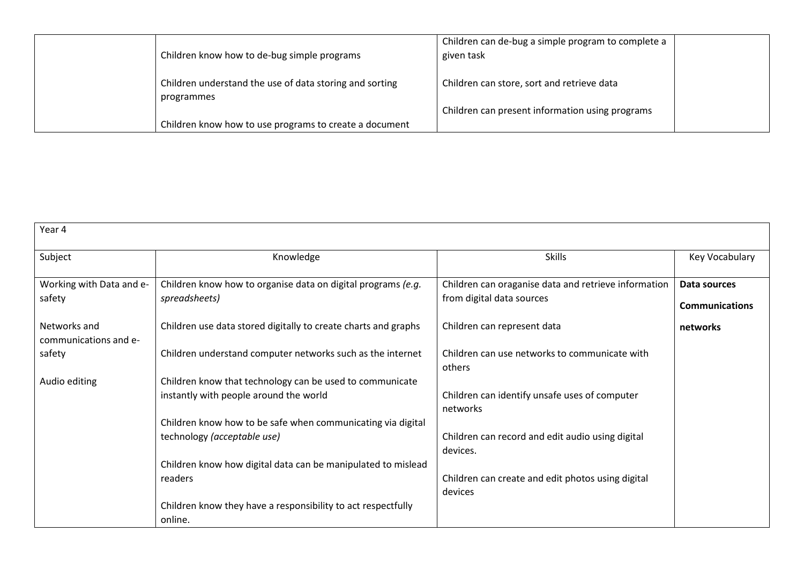| Children know how to de-bug simple programs                           | Children can de-bug a simple program to complete a<br>given task |  |
|-----------------------------------------------------------------------|------------------------------------------------------------------|--|
| Children understand the use of data storing and sorting<br>programmes | Children can store, sort and retrieve data                       |  |
|                                                                       | Children can present information using programs                  |  |
| Children know how to use programs to create a document                |                                                                  |  |

| Year 4                                |                                                                |                                                              |                       |
|---------------------------------------|----------------------------------------------------------------|--------------------------------------------------------------|-----------------------|
| Subject                               | Knowledge                                                      | <b>Skills</b>                                                | Key Vocabulary        |
| Working with Data and e-              | Children know how to organise data on digital programs (e.g.   | Children can oraganise data and retrieve information         | Data sources          |
| safety                                | spreadsheets)                                                  | from digital data sources                                    | <b>Communications</b> |
| Networks and<br>communications and e- | Children use data stored digitally to create charts and graphs | Children can represent data                                  | networks              |
| safety                                | Children understand computer networks such as the internet     | Children can use networks to communicate with<br>others      |                       |
| Audio editing                         | Children know that technology can be used to communicate       |                                                              |                       |
|                                       | instantly with people around the world                         | Children can identify unsafe uses of computer<br>networks    |                       |
|                                       | Children know how to be safe when communicating via digital    |                                                              |                       |
|                                       | technology (acceptable use)                                    | Children can record and edit audio using digital<br>devices. |                       |
|                                       | Children know how digital data can be manipulated to mislead   |                                                              |                       |
|                                       | readers                                                        | Children can create and edit photos using digital<br>devices |                       |
|                                       | Children know they have a responsibility to act respectfully   |                                                              |                       |
|                                       | online.                                                        |                                                              |                       |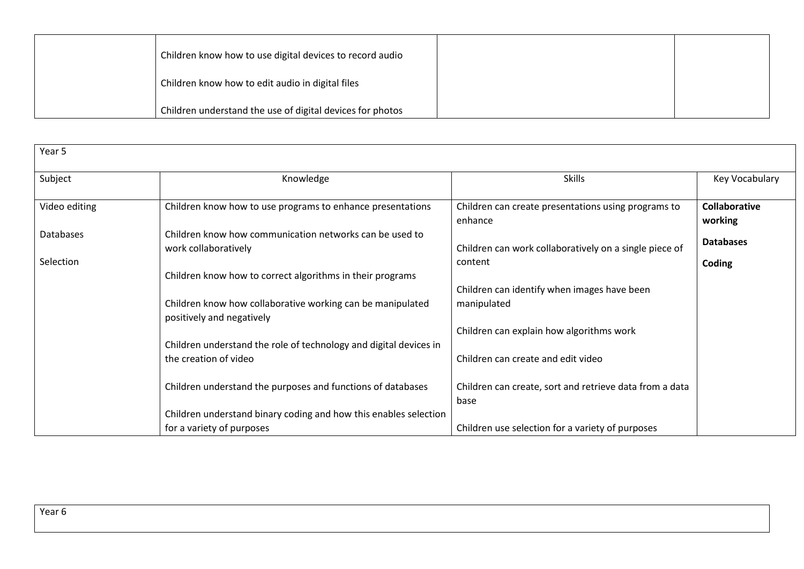| Children know how to use digital devices to record audio  |  |
|-----------------------------------------------------------|--|
| Children know how to edit audio in digital files          |  |
| Children understand the use of digital devices for photos |  |

| Year 5        |                                                                                         |                                                                 |                                 |
|---------------|-----------------------------------------------------------------------------------------|-----------------------------------------------------------------|---------------------------------|
| Subject       | Knowledge                                                                               | <b>Skills</b>                                                   | Key Vocabulary                  |
| Video editing | Children know how to use programs to enhance presentations                              | Children can create presentations using programs to<br>enhance  | <b>Collaborative</b><br>working |
| Databases     | Children know how communication networks can be used to<br>work collaboratively         | Children can work collaboratively on a single piece of          | <b>Databases</b>                |
| Selection     | Children know how to correct algorithms in their programs                               | content                                                         | Coding                          |
|               | Children know how collaborative working can be manipulated<br>positively and negatively | Children can identify when images have been<br>manipulated      |                                 |
|               | Children understand the role of technology and digital devices in                       | Children can explain how algorithms work                        |                                 |
|               | the creation of video                                                                   | Children can create and edit video                              |                                 |
|               | Children understand the purposes and functions of databases                             | Children can create, sort and retrieve data from a data<br>base |                                 |
|               | Children understand binary coding and how this enables selection                        |                                                                 |                                 |
|               | for a variety of purposes                                                               | Children use selection for a variety of purposes                |                                 |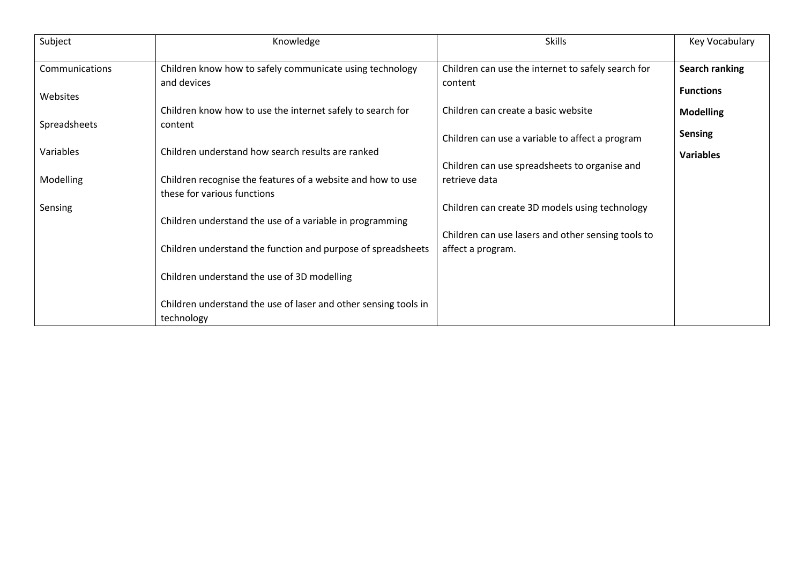| Subject        | Knowledge                                                       | <b>Skills</b>                                      | Key Vocabulary   |
|----------------|-----------------------------------------------------------------|----------------------------------------------------|------------------|
| Communications | Children know how to safely communicate using technology        | Children can use the internet to safely search for | Search ranking   |
|                | and devices                                                     | content                                            | <b>Functions</b> |
| Websites       |                                                                 |                                                    |                  |
|                | Children know how to use the internet safely to search for      | Children can create a basic website                | <b>Modelling</b> |
| Spreadsheets   | content                                                         |                                                    |                  |
|                |                                                                 | Children can use a variable to affect a program    | <b>Sensing</b>   |
| Variables      | Children understand how search results are ranked               |                                                    | <b>Variables</b> |
|                |                                                                 | Children can use spreadsheets to organise and      |                  |
| Modelling      | Children recognise the features of a website and how to use     | retrieve data                                      |                  |
|                | these for various functions                                     |                                                    |                  |
| Sensing        |                                                                 | Children can create 3D models using technology     |                  |
|                | Children understand the use of a variable in programming        |                                                    |                  |
|                |                                                                 | Children can use lasers and other sensing tools to |                  |
|                | Children understand the function and purpose of spreadsheets    | affect a program.                                  |                  |
|                |                                                                 |                                                    |                  |
|                | Children understand the use of 3D modelling                     |                                                    |                  |
|                |                                                                 |                                                    |                  |
|                | Children understand the use of laser and other sensing tools in |                                                    |                  |
|                | technology                                                      |                                                    |                  |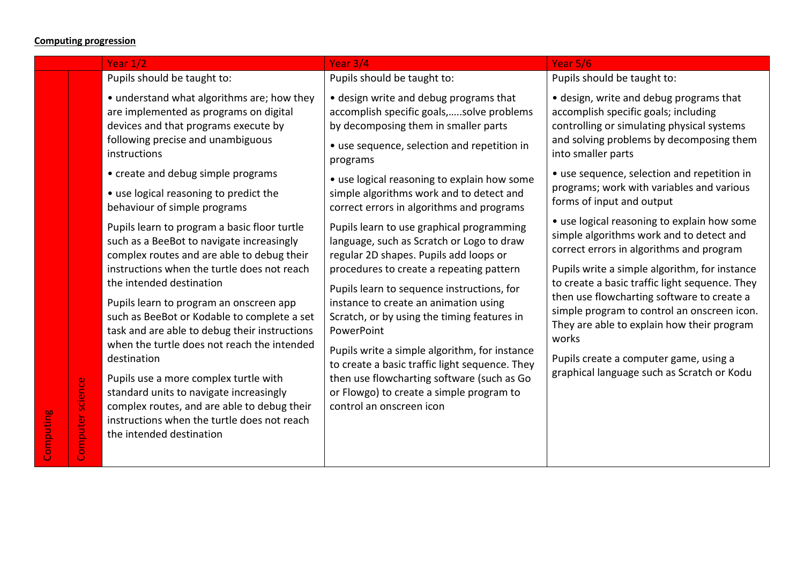#### **Computing progression**

#### Year 1/2 Year 3/4 Year 5/6 Pupils should be taught to: • understand what algorithms are; how they are implemented as programs on digital devices and that programs execute by following precise and unambiguous instructions • create and debug simple programs • use logical reasoning to predict the behaviour of simple programs Pupils learn to program a basic floor turtle such as a BeeBot to navigate increasingly complex routes and are able to debug their instructions when the turtle does not reach the intended destination Pupils learn to program an onscreen app such as BeeBot or Kodable to complete a set task and are able to debug their instructions when the turtle does not reach the intended destination Pupils should be taught to: • design write and debug programs that accomplish specific goals,…..solve problems by decomposing them in smaller parts • use sequence, selection and repetition in programs • use logical reasoning to explain how some simple algorithms work and to detect and correct errors in algorithms and programs Pupils learn to use graphical programming language, such as Scratch or Logo to draw regular 2D shapes. Pupils add loops or procedures to create a repeating pattern Pupils learn to sequence instructions, for instance to create an animation using Scratch, or by using the timing features in PowerPoint Pupils write a simple algorithm, for instance into smaller parts works

Pupils use a more complex turtle with standard units to navigate increasingly complex routes, and are able to debug their instructions when the turtle does not reach the intended destination

to create a basic traffic light sequence. They then use flowcharting software (such as Go or Flowgo) to create a simple program to control an onscreen icon

### Pupils should be taught to:

• design, write and debug programs that accomplish specific goals; including controlling or simulating physical systems and solving problems by decomposing them

- use sequence, selection and repetition in programs; work with variables and various forms of input and output
- use logical reasoning to explain how some simple algorithms work and to detect and correct errors in algorithms and program

Pupils write a simple algorithm, for instance to create a basic traffic light sequence. They then use flowcharting software to create a simple program to control an onscreen icon. They are able to explain how their program

Pupils create a computer game, using a graphical language such as Scratch or Kodu

Computing

Computer science

Computer science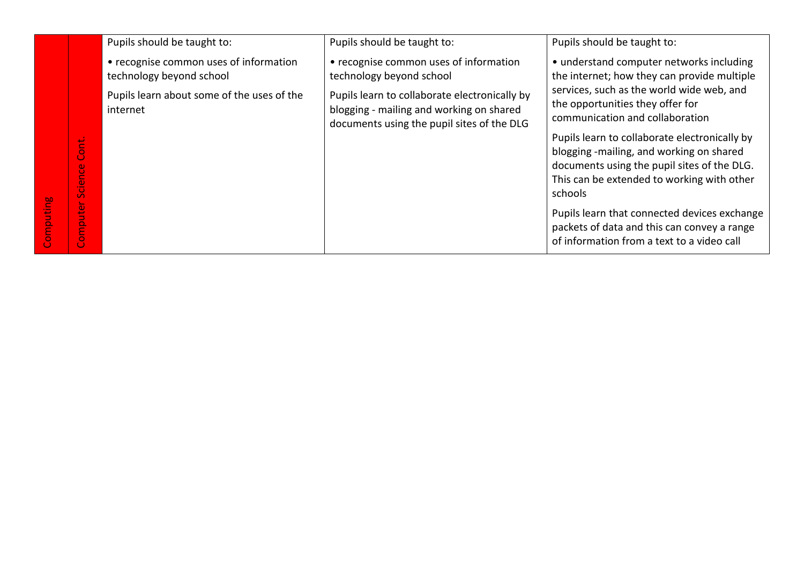|                                                                                                 | Pupils should be taught to:                                        | Pupils should be taught to:                                                                                                             | Pupils should be taught to:                                                                                                                                                                       |
|-------------------------------------------------------------------------------------------------|--------------------------------------------------------------------|-----------------------------------------------------------------------------------------------------------------------------------------|---------------------------------------------------------------------------------------------------------------------------------------------------------------------------------------------------|
|                                                                                                 | • recognise common uses of information<br>technology beyond school | • recognise common uses of information<br>technology beyond school                                                                      | • understand computer networks including<br>the internet; how they can provide multiple                                                                                                           |
|                                                                                                 | Pupils learn about some of the uses of the<br>internet             | Pupils learn to collaborate electronically by<br>blogging - mailing and working on shared<br>documents using the pupil sites of the DLG | services, such as the world wide web, and<br>the opportunities they offer for<br>communication and collaboration                                                                                  |
| ont.<br>Ō<br>$\omega$<br>$\circ$<br>$\omega$<br>$\overline{\phantom{0}}$<br>$\circ$<br>$\Omega$ |                                                                    |                                                                                                                                         | Pupils learn to collaborate electronically by<br>blogging -mailing, and working on shared<br>documents using the pupil sites of the DLG.<br>This can be extended to working with other<br>schools |
| $\mathbf{e}_i$<br>∍<br>$\Omega$<br>Ξ<br>$\circ$<br>O.                                           |                                                                    |                                                                                                                                         | Pupils learn that connected devices exchange<br>packets of data and this can convey a range<br>of information from a text to a video call                                                         |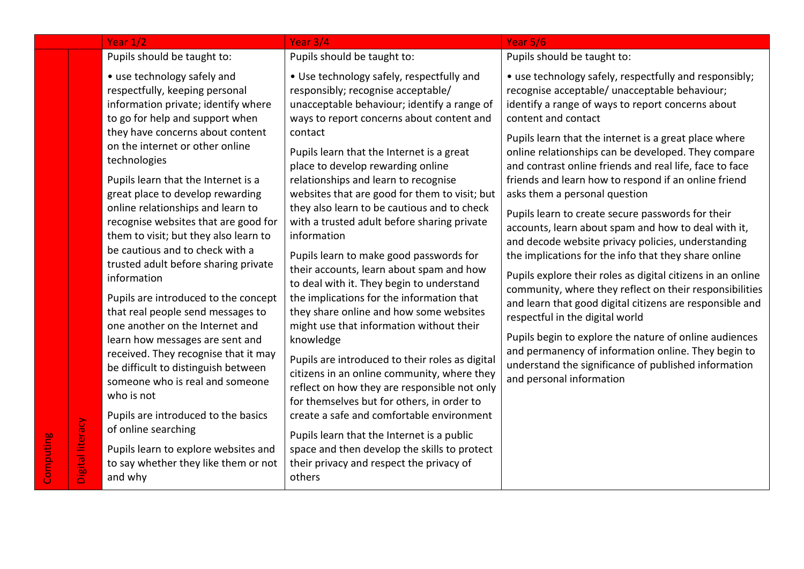|                  | Year $1/2$                                                                                                                                                                                                                                                                                                                                                                                                                                                                                                                                                                                                                                                                                                                                                                                                                                                                                                                                                            | Year 3/4                                                                                                                                                                                                                                                                                                                                                                                                                                                                                                                                                                                                                                                                                                                                                                                                                                                                                                                                                                                                                                                                                                                                                             | Year 5/6                                                                                                                                                                                                                                                                                                                                                                                                                                                                                                                                                                                                                                                                                                                                                                                                                                                                                                                                                                                                                                                                                                        |
|------------------|-----------------------------------------------------------------------------------------------------------------------------------------------------------------------------------------------------------------------------------------------------------------------------------------------------------------------------------------------------------------------------------------------------------------------------------------------------------------------------------------------------------------------------------------------------------------------------------------------------------------------------------------------------------------------------------------------------------------------------------------------------------------------------------------------------------------------------------------------------------------------------------------------------------------------------------------------------------------------|----------------------------------------------------------------------------------------------------------------------------------------------------------------------------------------------------------------------------------------------------------------------------------------------------------------------------------------------------------------------------------------------------------------------------------------------------------------------------------------------------------------------------------------------------------------------------------------------------------------------------------------------------------------------------------------------------------------------------------------------------------------------------------------------------------------------------------------------------------------------------------------------------------------------------------------------------------------------------------------------------------------------------------------------------------------------------------------------------------------------------------------------------------------------|-----------------------------------------------------------------------------------------------------------------------------------------------------------------------------------------------------------------------------------------------------------------------------------------------------------------------------------------------------------------------------------------------------------------------------------------------------------------------------------------------------------------------------------------------------------------------------------------------------------------------------------------------------------------------------------------------------------------------------------------------------------------------------------------------------------------------------------------------------------------------------------------------------------------------------------------------------------------------------------------------------------------------------------------------------------------------------------------------------------------|
|                  | Pupils should be taught to:                                                                                                                                                                                                                                                                                                                                                                                                                                                                                                                                                                                                                                                                                                                                                                                                                                                                                                                                           | Pupils should be taught to:                                                                                                                                                                                                                                                                                                                                                                                                                                                                                                                                                                                                                                                                                                                                                                                                                                                                                                                                                                                                                                                                                                                                          | Pupils should be taught to:                                                                                                                                                                                                                                                                                                                                                                                                                                                                                                                                                                                                                                                                                                                                                                                                                                                                                                                                                                                                                                                                                     |
| Digital literacy | • use technology safely and<br>respectfully, keeping personal<br>information private; identify where<br>to go for help and support when<br>they have concerns about content<br>on the internet or other online<br>technologies<br>Pupils learn that the Internet is a<br>great place to develop rewarding<br>online relationships and learn to<br>recognise websites that are good for<br>them to visit; but they also learn to<br>be cautious and to check with a<br>trusted adult before sharing private<br>information<br>Pupils are introduced to the concept<br>that real people send messages to<br>one another on the Internet and<br>learn how messages are sent and<br>received. They recognise that it may<br>be difficult to distinguish between<br>someone who is real and someone<br>who is not<br>Pupils are introduced to the basics<br>of online searching<br>Pupils learn to explore websites and<br>to say whether they like them or not<br>and why | • Use technology safely, respectfully and<br>responsibly; recognise acceptable/<br>unacceptable behaviour; identify a range of<br>ways to report concerns about content and<br>contact<br>Pupils learn that the Internet is a great<br>place to develop rewarding online<br>relationships and learn to recognise<br>websites that are good for them to visit; but<br>they also learn to be cautious and to check<br>with a trusted adult before sharing private<br>information<br>Pupils learn to make good passwords for<br>their accounts, learn about spam and how<br>to deal with it. They begin to understand<br>the implications for the information that<br>they share online and how some websites<br>might use that information without their<br>knowledge<br>Pupils are introduced to their roles as digital<br>citizens in an online community, where they<br>reflect on how they are responsible not only<br>for themselves but for others, in order to<br>create a safe and comfortable environment<br>Pupils learn that the Internet is a public<br>space and then develop the skills to protect<br>their privacy and respect the privacy of<br>others | • use technology safely, respectfully and responsibly;<br>recognise acceptable/ unacceptable behaviour;<br>identify a range of ways to report concerns about<br>content and contact<br>Pupils learn that the internet is a great place where<br>online relationships can be developed. They compare<br>and contrast online friends and real life, face to face<br>friends and learn how to respond if an online friend<br>asks them a personal question<br>Pupils learn to create secure passwords for their<br>accounts, learn about spam and how to deal with it,<br>and decode website privacy policies, understanding<br>the implications for the info that they share online<br>Pupils explore their roles as digital citizens in an online<br>community, where they reflect on their responsibilities<br>and learn that good digital citizens are responsible and<br>respectful in the digital world<br>Pupils begin to explore the nature of online audiences<br>and permanency of information online. They begin to<br>understand the significance of published information<br>and personal information |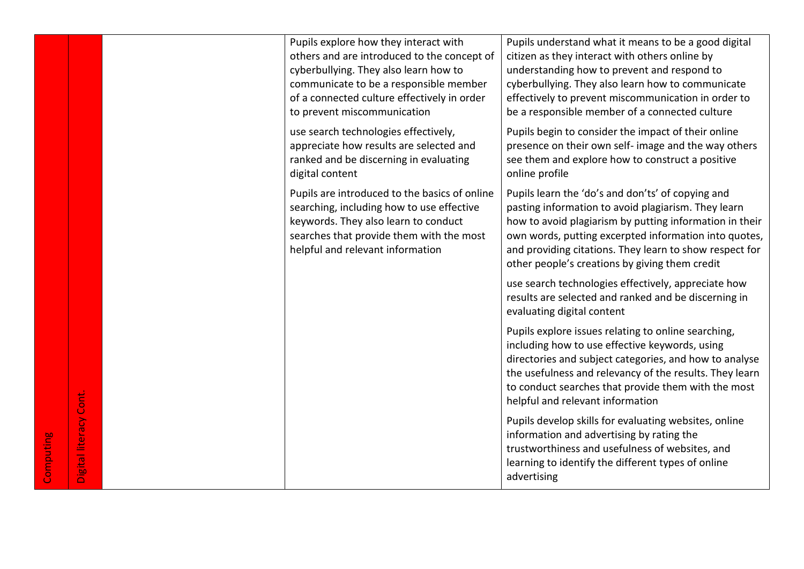| Pupils explore how they interact with<br>others and are introduced to the concept of<br>cyberbullying. They also learn how to<br>communicate to be a responsible member<br>of a connected culture effectively in order<br>to prevent miscommunication | Pupils understand what it means to be a good digital<br>citizen as they interact with others online by<br>understanding how to prevent and respond to<br>cyberbullying. They also learn how to communicate<br>effectively to prevent miscommunication in order to<br>be a responsible member of a connected culture                       |  |
|-------------------------------------------------------------------------------------------------------------------------------------------------------------------------------------------------------------------------------------------------------|-------------------------------------------------------------------------------------------------------------------------------------------------------------------------------------------------------------------------------------------------------------------------------------------------------------------------------------------|--|
| use search technologies effectively,<br>appreciate how results are selected and<br>ranked and be discerning in evaluating<br>digital content                                                                                                          | Pupils begin to consider the impact of their online<br>presence on their own self- image and the way others<br>see them and explore how to construct a positive<br>online profile                                                                                                                                                         |  |
| Pupils are introduced to the basics of online<br>searching, including how to use effective<br>keywords. They also learn to conduct<br>searches that provide them with the most<br>helpful and relevant information                                    | Pupils learn the 'do's and don'ts' of copying and<br>pasting information to avoid plagiarism. They learn<br>how to avoid plagiarism by putting information in their<br>own words, putting excerpted information into quotes,<br>and providing citations. They learn to show respect for<br>other people's creations by giving them credit |  |
|                                                                                                                                                                                                                                                       | use search technologies effectively, appreciate how<br>results are selected and ranked and be discerning in<br>evaluating digital content                                                                                                                                                                                                 |  |
|                                                                                                                                                                                                                                                       | Pupils explore issues relating to online searching,<br>including how to use effective keywords, using<br>directories and subject categories, and how to analyse<br>the usefulness and relevancy of the results. They learn<br>to conduct searches that provide them with the most<br>helpful and relevant information                     |  |
|                                                                                                                                                                                                                                                       | Pupils develop skills for evaluating websites, online<br>information and advertising by rating the<br>trustworthiness and usefulness of websites, and<br>learning to identify the different types of online<br>advertising                                                                                                                |  |

Digital literacy Cont.

Digital literacy Cont.

Computing